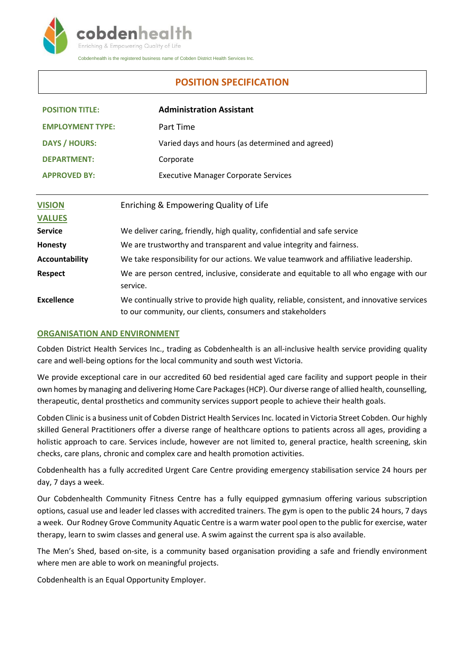

Cobdenhealth is the registered business name of Cobden District Health Services Inc.

# **POSITION SPECIFICATION**

| <b>POSITION TITLE:</b>  |                                                                                       | <b>Administration Assistant</b>                                                                                                                           |
|-------------------------|---------------------------------------------------------------------------------------|-----------------------------------------------------------------------------------------------------------------------------------------------------------|
| <b>EMPLOYMENT TYPE:</b> |                                                                                       | Part Time                                                                                                                                                 |
| <b>DAYS / HOURS:</b>    |                                                                                       | Varied days and hours (as determined and agreed)                                                                                                          |
| <b>DEPARTMENT:</b>      |                                                                                       | Corporate                                                                                                                                                 |
| <b>APPROVED BY:</b>     |                                                                                       | <b>Executive Manager Corporate Services</b>                                                                                                               |
|                         |                                                                                       |                                                                                                                                                           |
| <b>VISION</b>           | Enriching & Empowering Quality of Life                                                |                                                                                                                                                           |
| <b>VALUES</b>           |                                                                                       |                                                                                                                                                           |
| Service                 | We deliver caring, friendly, high quality, confidential and safe service              |                                                                                                                                                           |
| <b>Honesty</b>          | We are trustworthy and transparent and value integrity and fairness.                  |                                                                                                                                                           |
| <b>Accountability</b>   | We take responsibility for our actions. We value teamwork and affiliative leadership. |                                                                                                                                                           |
| <b>Respect</b>          | service.                                                                              | We are person centred, inclusive, considerate and equitable to all who engage with our                                                                    |
| <b>Excellence</b>       |                                                                                       | We continually strive to provide high quality, reliable, consistent, and innovative services<br>to our community, our clients, consumers and stakeholders |

## **ORGANISATION AND ENVIRONMENT**

Cobden District Health Services Inc., trading as Cobdenhealth is an all-inclusive health service providing quality care and well-being options for the local community and south west Victoria.

We provide exceptional care in our accredited 60 bed residential aged care facility and support people in their own homes by managing and delivering Home Care Packages (HCP). Our diverse range of allied health, counselling, therapeutic, dental prosthetics and community services support people to achieve their health goals.

Cobden Clinic is a business unit of Cobden District Health Services Inc. located in Victoria Street Cobden. Our highly skilled General Practitioners offer a diverse range of healthcare options to patients across all ages, providing a holistic approach to care. Services include, however are not limited to, general practice, health screening, skin checks, care plans, chronic and complex care and health promotion activities.

Cobdenhealth has a fully accredited Urgent Care Centre providing emergency stabilisation service 24 hours per day, 7 days a week.

Our Cobdenhealth Community Fitness Centre has a fully equipped gymnasium offering various subscription options, casual use and leader led classes with accredited trainers. The gym is open to the public 24 hours, 7 days a week. Our Rodney Grove Community Aquatic Centre is a warm water pool open to the public for exercise, water therapy, learn to swim classes and general use. A swim against the current spa is also available.

The Men's Shed, based on-site, is a community based organisation providing a safe and friendly environment where men are able to work on meaningful projects.

Cobdenhealth is an Equal Opportunity Employer.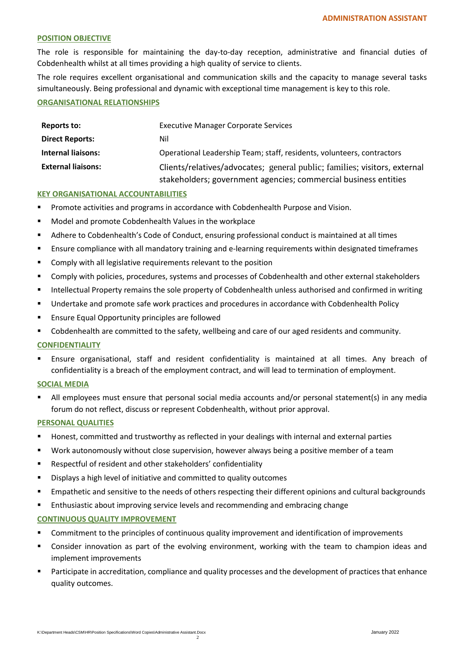#### **POSITION OBJECTIVE**

The role is responsible for maintaining the day-to-day reception, administrative and financial duties of Cobdenhealth whilst at all times providing a high quality of service to clients.

The role requires excellent organisational and communication skills and the capacity to manage several tasks simultaneously. Being professional and dynamic with exceptional time management is key to this role.

#### **ORGANISATIONAL RELATIONSHIPS**

| Reports to:               | <b>Executive Manager Corporate Services</b>                               |
|---------------------------|---------------------------------------------------------------------------|
| <b>Direct Reports:</b>    | Nil                                                                       |
| <b>Internal liaisons:</b> | Operational Leadership Team; staff, residents, volunteers, contractors    |
| <b>External liaisons:</b> | Clients/relatives/advocates; general public; families; visitors, external |
|                           | stakeholders; government agencies; commercial business entities           |

### **KEY ORGANISATIONAL ACCOUNTABILITIES**

- Promote activities and programs in accordance with Cobdenhealth Purpose and Vision.
- Model and promote Cobdenhealth Values in the workplace
- Adhere to Cobdenhealth's Code of Conduct, ensuring professional conduct is maintained at all times
- Ensure compliance with all mandatory training and e-learning requirements within designated timeframes
- **EXECOMPLE COMPLY With all legislative requirements relevant to the position**
- Comply with policies, procedures, systems and processes of Cobdenhealth and other external stakeholders
- Intellectual Property remains the sole property of Cobdenhealth unless authorised and confirmed in writing
- Undertake and promote safe work practices and procedures in accordance with Cobdenhealth Policy
- **Ensure Equal Opportunity principles are followed**
- Cobdenhealth are committed to the safety, wellbeing and care of our aged residents and community.

## **CONFIDENTIALITY**

 Ensure organisational, staff and resident confidentiality is maintained at all times. Any breach of confidentiality is a breach of the employment contract, and will lead to termination of employment.

#### **SOCIAL MEDIA**

 All employees must ensure that personal social media accounts and/or personal statement(s) in any media forum do not reflect, discuss or represent Cobdenhealth, without prior approval.

## **PERSONAL QUALITIES**

- **Honest, committed and trustworthy as reflected in your dealings with internal and external parties**
- Work autonomously without close supervision, however always being a positive member of a team
- Respectful of resident and other stakeholders' confidentiality
- Displays a high level of initiative and committed to quality outcomes
- Empathetic and sensitive to the needs of others respecting their different opinions and cultural backgrounds
- Enthusiastic about improving service levels and recommending and embracing change

## **CONTINUOUS QUALITY IMPROVEMENT**

- **EXECOMMITMENT COMMITMENT COMMITMENT COMMITMENT COMMITMENT COMMITMENT COMMITMENT COMMITMENT COMMITMENT COMMITMENT COMMITMENT COMMITMENTS**
- Consider innovation as part of the evolving environment, working with the team to champion ideas and implement improvements
- Participate in accreditation, compliance and quality processes and the development of practices that enhance quality outcomes.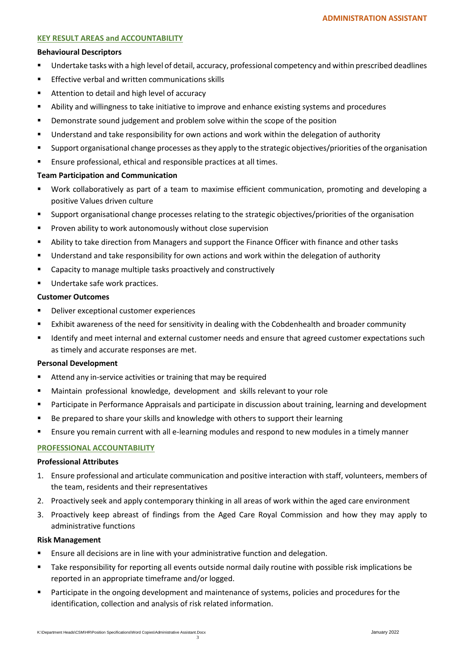## **KEY RESULT AREAS and ACCOUNTABILITY**

#### **Behavioural Descriptors**

- Undertake tasks with a high level of detail, accuracy, professional competency and within prescribed deadlines
- **Effective verbal and written communications skills**
- Attention to detail and high level of accuracy
- Ability and willingness to take initiative to improve and enhance existing systems and procedures
- Demonstrate sound judgement and problem solve within the scope of the position
- Understand and take responsibility for own actions and work within the delegation of authority
- Support organisational change processes as they apply to the strategic objectives/priorities of the organisation
- Ensure professional, ethical and responsible practices at all times.

#### **Team Participation and Communication**

- Work collaboratively as part of a team to maximise efficient communication, promoting and developing a positive Values driven culture
- Support organisational change processes relating to the strategic objectives/priorities of the organisation
- **Proven ability to work autonomously without close supervision**
- Ability to take direction from Managers and support the Finance Officer with finance and other tasks
- Understand and take responsibility for own actions and work within the delegation of authority
- Capacity to manage multiple tasks proactively and constructively
- Undertake safe work practices.

#### **Customer Outcomes**

- Deliver exceptional customer experiences
- Exhibit awareness of the need for sensitivity in dealing with the Cobdenhealth and broader community
- **IDENTIFY And meet internal and external customer needs and ensure that agreed customer expectations such and i** as timely and accurate responses are met.

#### **Personal Development**

- Attend any in-service activities or training that may be required
- Maintain professional knowledge, development and skills relevant to your role
- Participate in Performance Appraisals and participate in discussion about training, learning and development
- **Be prepared to share your skills and knowledge with others to support their learning**
- Ensure you remain current with all e-learning modules and respond to new modules in a timely manner

## **PROFESSIONAL ACCOUNTABILITY**

#### **Professional Attributes**

- 1. Ensure professional and articulate communication and positive interaction with staff, volunteers, members of the team, residents and their representatives
- 2. Proactively seek and apply contemporary thinking in all areas of work within the aged care environment
- 3. Proactively keep abreast of findings from the Aged Care Royal Commission and how they may apply to administrative functions

#### **Risk Management**

- Ensure all decisions are in line with your administrative function and delegation.
- Take responsibility for reporting all events outside normal daily routine with possible risk implications be reported in an appropriate timeframe and/or logged.
- Participate in the ongoing development and maintenance of systems, policies and procedures for the identification, collection and analysis of risk related information.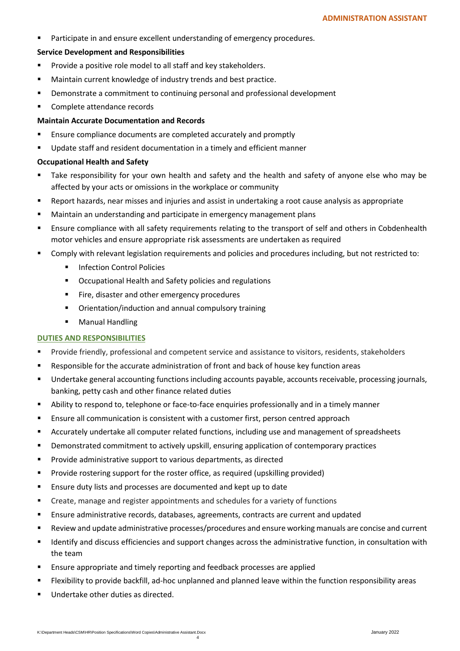Participate in and ensure excellent understanding of emergency procedures.

### **Service Development and Responsibilities**

- **Provide a positive role model to all staff and key stakeholders.**
- Maintain current knowledge of industry trends and best practice.
- **•** Demonstrate a commitment to continuing personal and professional development
- Complete attendance records

### **Maintain Accurate Documentation and Records**

- **Ensure compliance documents are completed accurately and promptly**
- Update staff and resident documentation in a timely and efficient manner

### **Occupational Health and Safety**

- Take responsibility for your own health and safety and the health and safety of anyone else who may be affected by your acts or omissions in the workplace or community
- Report hazards, near misses and injuries and assist in undertaking a root cause analysis as appropriate
- **EXECT** Maintain an understanding and participate in emergency management plans
- Ensure compliance with all safety requirements relating to the transport of self and others in Cobdenhealth motor vehicles and ensure appropriate risk assessments are undertaken as required
- Comply with relevant legislation requirements and policies and procedures including, but not restricted to:
	- **Infection Control Policies**
	- Occupational Health and Safety policies and regulations
	- Fire, disaster and other emergency procedures
	- Orientation/induction and annual compulsory training
	- **•** Manual Handling

## **DUTIES AND RESPONSIBILITIES**

- **Provide friendly, professional and competent service and assistance to visitors, residents, stakeholders**
- Responsible for the accurate administration of front and back of house key function areas
- Undertake general accounting functions including accounts payable, accounts receivable, processing journals, banking, petty cash and other finance related duties
- Ability to respond to, telephone or face-to-face enquiries professionally and in a timely manner
- Ensure all communication is consistent with a customer first, person centred approach
- Accurately undertake all computer related functions, including use and management of spreadsheets
- Demonstrated commitment to actively upskill, ensuring application of contemporary practices
- **Provide administrative support to various departments, as directed**
- Provide rostering support for the roster office, as required (upskilling provided)
- **Ensure duty lists and processes are documented and kept up to date**
- Create, manage and register appointments and schedules for a variety of functions
- Ensure administrative records, databases, agreements, contracts are current and updated
- Review and update administrative processes/procedures and ensure working manuals are concise and current
- Identify and discuss efficiencies and support changes across the administrative function, in consultation with the team
- Ensure appropriate and timely reporting and feedback processes are applied
- Flexibility to provide backfill, ad-hoc unplanned and planned leave within the function responsibility areas
- Undertake other duties as directed.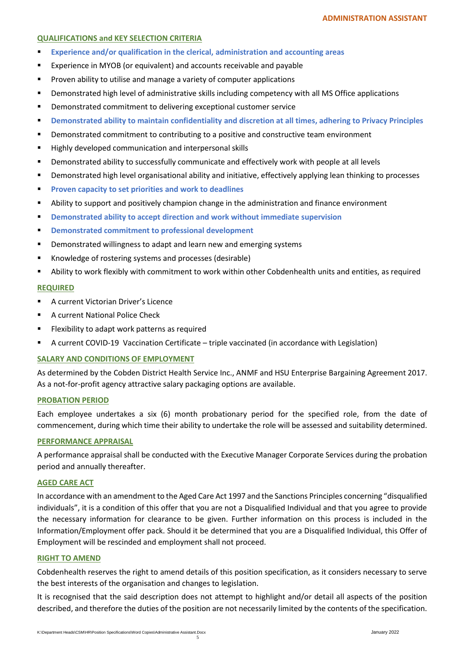## **QUALIFICATIONS and KEY SELECTION CRITERIA**

- **Experience and/or qualification in the clerical, administration and accounting areas**
- **Experience in MYOB (or equivalent) and accounts receivable and payable**
- **Proven ability to utilise and manage a variety of computer applications**
- Demonstrated high level of administrative skills including competency with all MS Office applications
- **•** Demonstrated commitment to delivering exceptional customer service
- **P** Demonstrated ability to maintain confidentiality and discretion at all times, adhering to Privacy Principles
- Demonstrated commitment to contributing to a positive and constructive team environment
- Highly developed communication and interpersonal skills
- Demonstrated ability to successfully communicate and effectively work with people at all levels
- Demonstrated high level organisational ability and initiative, effectively applying lean thinking to processes
- **Proven capacity to set priorities and work to deadlines**
- Ability to support and positively champion change in the administration and finance environment
- **Demonstrated ability to accept direction and work without immediate supervision**
- **Demonstrated commitment to professional development**
- **•** Demonstrated willingness to adapt and learn new and emerging systems
- Knowledge of rostering systems and processes (desirable)
- Ability to work flexibly with commitment to work within other Cobdenhealth units and entities, as required

## **REQUIRED**

- **A current Victorian Driver's Licence**
- A current National Police Check
- **FILE FINGTO FIGURE 1** Flexibility to adapt work patterns as required
- A current COVID-19 Vaccination Certificate triple vaccinated (in accordance with Legislation)

## **SALARY AND CONDITIONS OF EMPLOYMENT**

As determined by the Cobden District Health Service Inc., ANMF and HSU Enterprise Bargaining Agreement 2017. As a not-for-profit agency attractive salary packaging options are available.

## **PROBATION PERIOD**

Each employee undertakes a six (6) month probationary period for the specified role, from the date of commencement, during which time their ability to undertake the role will be assessed and suitability determined.

## **PERFORMANCE APPRAISAL**

A performance appraisal shall be conducted with the Executive Manager Corporate Services during the probation period and annually thereafter.

## **AGED CARE ACT**

In accordance with an amendment to the Aged Care Act 1997 and the Sanctions Principles concerning "disqualified individuals", it is a condition of this offer that you are not a Disqualified Individual and that you agree to provide the necessary information for clearance to be given. Further information on this process is included in the Information/Employment offer pack. Should it be determined that you are a Disqualified Individual, this Offer of Employment will be rescinded and employment shall not proceed.

## **RIGHT TO AMEND**

Cobdenhealth reserves the right to amend details of this position specification, as it considers necessary to serve the best interests of the organisation and changes to legislation.

It is recognised that the said description does not attempt to highlight and/or detail all aspects of the position described, and therefore the duties of the position are not necessarily limited by the contents of the specification.